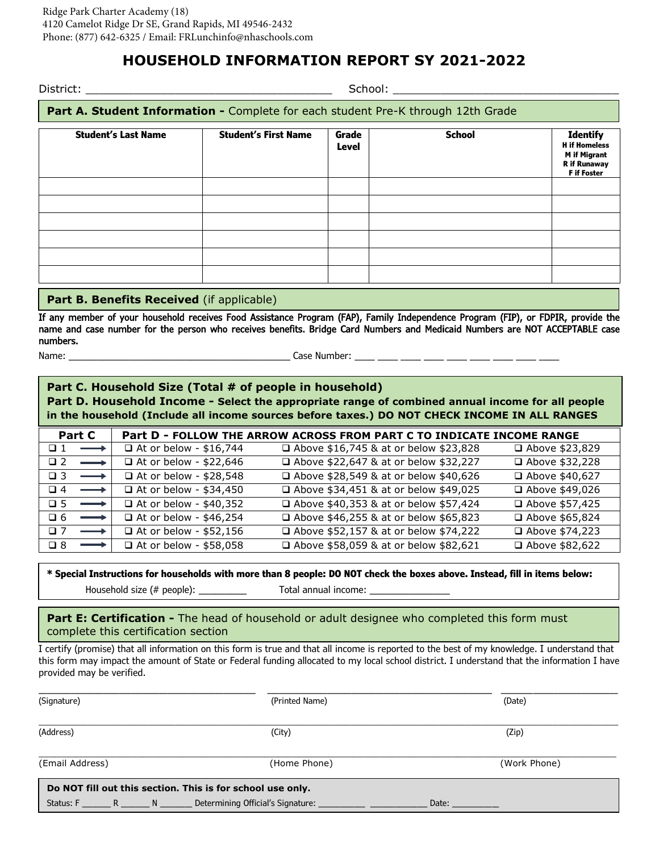# **HOUSEHOLD INFORMATION REPORT SY 2021-2022**

| Part A. Student Information - Complete for each student Pre-K through 12th Grade |                       |               |                                                                                                             |  |  |  |
|----------------------------------------------------------------------------------|-----------------------|---------------|-------------------------------------------------------------------------------------------------------------|--|--|--|
| <b>Student's First Name</b>                                                      | Grade<br><b>Level</b> | <b>School</b> | <b>Identify</b><br><b>H</b> if Homeless<br><b>M</b> if Migrant<br><b>R</b> if Runaway<br><b>F</b> if Foster |  |  |  |
|                                                                                  |                       |               |                                                                                                             |  |  |  |
|                                                                                  |                       |               |                                                                                                             |  |  |  |
|                                                                                  |                       |               |                                                                                                             |  |  |  |
|                                                                                  |                       |               |                                                                                                             |  |  |  |
|                                                                                  |                       |               |                                                                                                             |  |  |  |
|                                                                                  |                       |               |                                                                                                             |  |  |  |

#### **Part B. Benefits Received** (if applicable)

If any member of your household receives Food Assistance Program (FAP), Family Independence Program (FIP), or FDPIR, provide the name and case number for the person who receives benefits. Bridge Card Numbers and Medicaid Numbers are NOT ACCEPTABLE case numbers.

Name: \_\_\_\_\_\_\_\_\_\_\_\_\_\_\_\_\_\_\_\_\_\_\_\_\_\_\_\_\_\_\_\_\_\_\_\_\_\_\_\_\_\_\_\_\_\_\_\_\_\_\_\_\_\_\_ Case Number: \_\_\_\_\_ \_\_\_\_\_ \_\_\_\_\_ \_\_\_\_\_ \_\_\_\_\_ \_\_\_\_\_ \_\_\_\_\_ \_\_\_\_\_ \_\_\_\_\_

**Part C. Household Size (Total # of people in household) Part D. Household Income - Select the appropriate range of combined annual income for all people in the household (Include all income sources before taxes.) DO NOT CHECK INCOME IN ALL RANGES**

| <b>Part C</b>                    |                               | Part D - FOLLOW THE ARROW ACROSS FROM PART C TO INDICATE INCOME RANGE |                  |
|----------------------------------|-------------------------------|-----------------------------------------------------------------------|------------------|
| $\Box$ 1<br>$\longrightarrow$    | $\Box$ At or below - \$16,744 | □ Above \$16,745 & at or below \$23,828                               | □ Above \$23,829 |
| $\Box 2$<br>$\longrightarrow$    | $\Box$ At or below - \$22,646 | □ Above \$22,647 & at or below \$32,227                               | □ Above \$32,228 |
| $\Box$ 3<br>$\longrightarrow$    | □ At or below - \$28,548      | □ Above \$28,549 & at or below \$40,626                               | □ Above \$40,627 |
| $\Box 4$<br>$\longrightarrow$    | $\Box$ At or below - \$34,450 | □ Above \$34,451 & at or below \$49,025                               | □ Above \$49,026 |
| $\square$ 5<br>$\longrightarrow$ | $\Box$ At or below - \$40,352 | □ Above \$40,353 & at or below \$57,424                               | □ Above \$57,425 |
| $\Box 6$<br>$\longrightarrow$    | $\Box$ At or below - \$46,254 | □ Above \$46,255 & at or below \$65,823                               | □ Above \$65,824 |
| $\Box$ 7<br>$\longrightarrow$    | $\Box$ At or below - \$52,156 | □ Above \$52,157 & at or below \$74,222                               | □ Above \$74,223 |
| $\Box$ 8<br>$\longrightarrow$    | □ At or below - \$58,058      | □ Above \$58,059 & at or below \$82,621                               | □ Above \$82,622 |

#### **\* Special Instructions for households with more than 8 people: DO NOT check the boxes above. Instead, fill in items below:**

Household size (# people): \_\_\_\_\_\_\_\_\_\_\_\_\_ Total annual income: \_\_\_\_\_\_\_\_\_\_\_\_\_\_\_\_\_\_

**Part E: Certification -** The head of household or adult designee who completed this form must complete this certification section

I certify (promise) that all information on this form is true and that all income is reported to the best of my knowledge. I understand that this form may impact the amount of State or Federal funding allocated to my local school district. I understand that the information I have provided may be verified.

| (Signature)                                                                    | (Printed Name) | (Date)       |  |  |  |
|--------------------------------------------------------------------------------|----------------|--------------|--|--|--|
| (Address)                                                                      | (City)         | (Zip)        |  |  |  |
| (Email Address)                                                                | (Home Phone)   | (Work Phone) |  |  |  |
| Do NOT fill out this section. This is for school use only.                     |                |              |  |  |  |
| Status: F _________ R ________ N _________ Determining Official's Signature: _ |                | Date:        |  |  |  |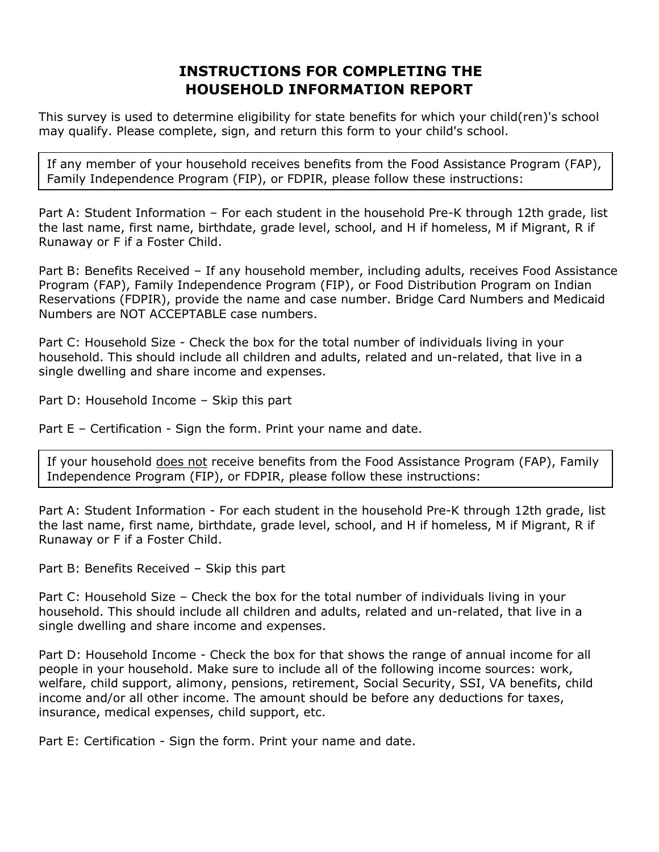# **INSTRUCTIONS FOR COMPLETING THE HOUSEHOLD INFORMATION REPORT**

This survey is used to determine eligibility for state benefits for which your child(ren)'s school may qualify. Please complete, sign, and return this form to your child's school.

If any member of your household receives benefits from the Food Assistance Program (FAP), Family Independence Program (FIP), or FDPIR, please follow these instructions:

Part A: Student Information – For each student in the household Pre-K through 12th grade, list the last name, first name, birthdate, grade level, school, and H if homeless, M if Migrant, R if Runaway or F if a Foster Child.

Part B: Benefits Received – If any household member, including adults, receives Food Assistance Program (FAP), Family Independence Program (FIP), or Food Distribution Program on Indian Reservations (FDPIR), provide the name and case number. Bridge Card Numbers and Medicaid Numbers are NOT ACCEPTABLE case numbers.

Part C: Household Size - Check the box for the total number of individuals living in your household. This should include all children and adults, related and un-related, that live in a single dwelling and share income and expenses.

Part D: Household Income – Skip this part

Part E – Certification - Sign the form. Print your name and date.

If your household does not receive benefits from the Food Assistance Program (FAP), Family Independence Program (FIP), or FDPIR, please follow these instructions:

Part A: Student Information - For each student in the household Pre-K through 12th grade, list the last name, first name, birthdate, grade level, school, and H if homeless, M if Migrant, R if Runaway or F if a Foster Child.

Part B: Benefits Received – Skip this part

Part C: Household Size – Check the box for the total number of individuals living in your household. This should include all children and adults, related and un-related, that live in a single dwelling and share income and expenses.

Part D: Household Income - Check the box for that shows the range of annual income for all people in your household. Make sure to include all of the following income sources: work, welfare, child support, alimony, pensions, retirement, Social Security, SSI, VA benefits, child income and/or all other income. The amount should be before any deductions for taxes, insurance, medical expenses, child support, etc.

Part E: Certification - Sign the form. Print your name and date.